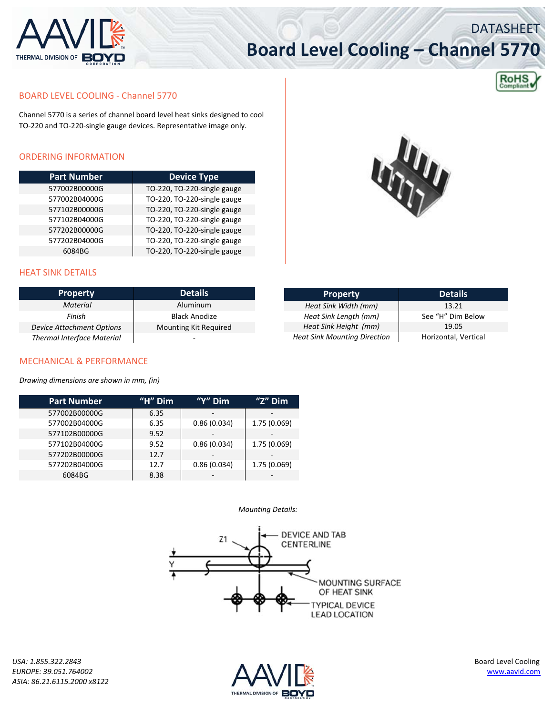

# **Board Level Cooling – Channel 5770**



DATASHEET

## BOARD LEVEL COOLING ‐ Channel 5770

Channel 5770 is a series of channel board level heat sinks designed to cool TO‐220 and TO‐220‐single gauge devices. Representative image only.

### ORDERING INFORMATION

| <b>Part Number</b> | <b>Device Type</b>          |
|--------------------|-----------------------------|
| 577002B00000G      | TO-220, TO-220-single gauge |
| 577002B04000G      | TO-220, TO-220-single gauge |
| 577102B00000G      | TO-220, TO-220-single gauge |
| 577102B04000G      | TO-220, TO-220-single gauge |
| 577202B00000G      | TO-220, TO-220-single gauge |
| 577202B04000G      | TO-220, TO-220-single gauge |
| 6084BG             | TO-220, TO-220-single gauge |



# HEAT SINK DETAILS

| <b>Property</b>                   | <b>Details</b>           | <b>Property</b>                     | <b>Details</b>       |
|-----------------------------------|--------------------------|-------------------------------------|----------------------|
| <b>Material</b>                   | Aluminum                 | Heat Sink Width (mm)                | 13.21                |
| Finish                            | Black Anodize            | Heat Sink Length (mm)               | See "H" Dim Below    |
| Device Attachment Options         | Mounting Kit Required    | Heat Sink Height (mm)               | 19.05                |
| <b>Thermal Interface Material</b> | $\overline{\phantom{a}}$ | <b>Heat Sink Mounting Direction</b> | Horizontal, Vertical |

#### MECHANICAL & PERFORMANCE

*Drawing dimensions are shown in mm, (in)*

| <b>Part Number</b> | "H" $Dim$ | "Y" Dim     | "Z" Dim      |
|--------------------|-----------|-------------|--------------|
| 577002B00000G      | 6.35      |             | -            |
| 577002B04000G      | 6.35      | 0.86(0.034) | 1.75 (0.069) |
| 577102B00000G      | 9.52      |             |              |
| 577102B04000G      | 9.52      | 0.86(0.034) | 1.75 (0.069) |
| 577202B00000G      | 12.7      |             |              |
| 577202B04000G      | 12.7      | 0.86(0.034) | 1.75 (0.069) |
| 6084BG             | 8.38      |             |              |

#### *Mounting Details:*



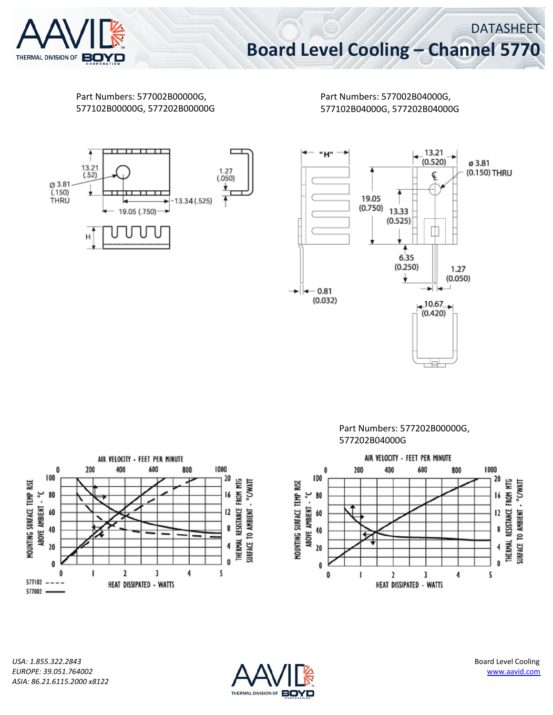

Part Numbers: 577002B00000G, 577102B00000G, 577202B00000G Part Numbers: 577002B04000G, 577102B04000G, 577202B04000G







Part Numbers: 577202B00000G, 577202B04000G



*USA: 1.855.322.2843* Board Level Cooling *EUROPE: 39.051.764002* www.aavid.com *ASIA: 86.21.6115.2000 x8122*